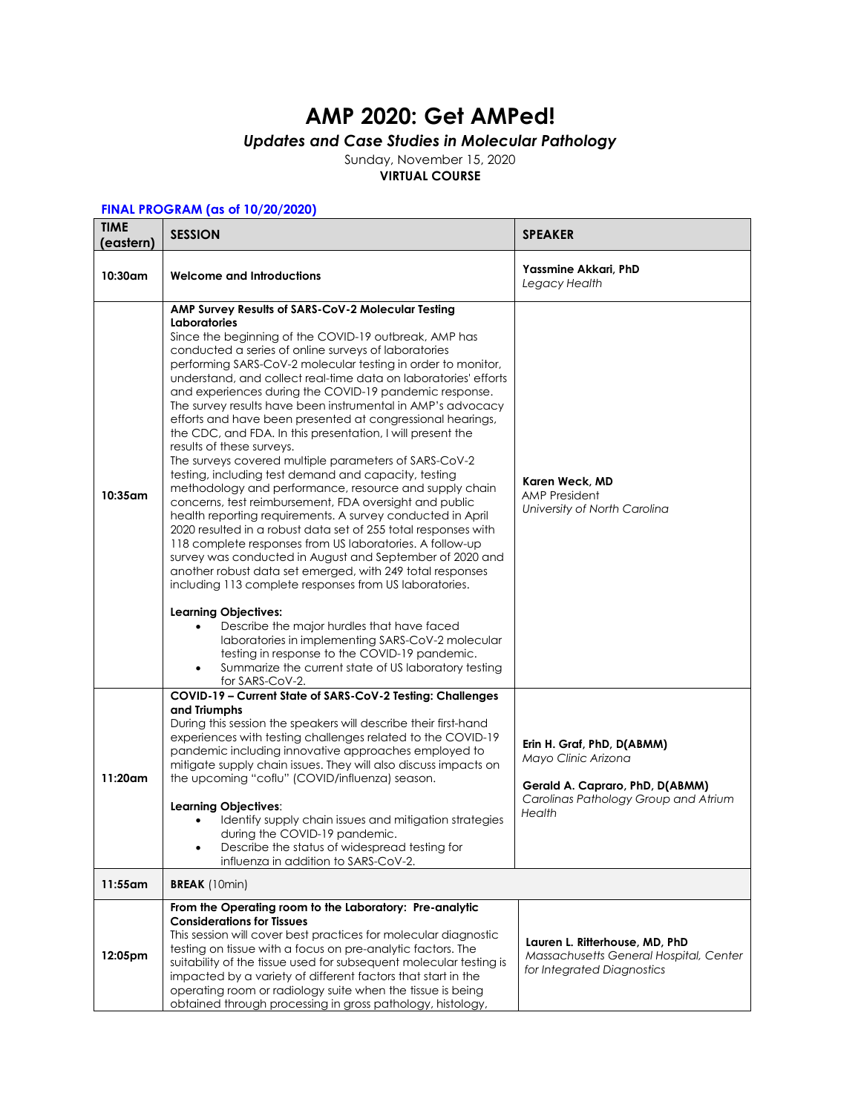## **AMP 2020: Get AMPed!**

## *Updates and Case Studies in Molecular Pathology*

Sunday, November 15, 2020 **VIRTUAL COURSE**

## **FINAL PROGRAM (as of 10/20/2020)**

| <b>TIME</b><br>(eastern) | <b>SESSION</b>                                                                                                                                                                                                                                                                                                                                                                                                                                                                                                                                                                                                                                                                                                                                                                                                                                                                                                                                                                                                                                                                                                                                                                                                                                                                                                                                                                                                                                                                                    | <b>SPEAKER</b>                                                                                                                         |
|--------------------------|---------------------------------------------------------------------------------------------------------------------------------------------------------------------------------------------------------------------------------------------------------------------------------------------------------------------------------------------------------------------------------------------------------------------------------------------------------------------------------------------------------------------------------------------------------------------------------------------------------------------------------------------------------------------------------------------------------------------------------------------------------------------------------------------------------------------------------------------------------------------------------------------------------------------------------------------------------------------------------------------------------------------------------------------------------------------------------------------------------------------------------------------------------------------------------------------------------------------------------------------------------------------------------------------------------------------------------------------------------------------------------------------------------------------------------------------------------------------------------------------------|----------------------------------------------------------------------------------------------------------------------------------------|
| 10:30am                  | <b>Welcome and Introductions</b>                                                                                                                                                                                                                                                                                                                                                                                                                                                                                                                                                                                                                                                                                                                                                                                                                                                                                                                                                                                                                                                                                                                                                                                                                                                                                                                                                                                                                                                                  | Yassmine Akkari, PhD<br>Legacy Health                                                                                                  |
| 10:35 am                 | AMP Survey Results of SARS-CoV-2 Molecular Testing<br><b>Laboratories</b><br>Since the beginning of the COVID-19 outbreak, AMP has<br>conducted a series of online surveys of laboratories<br>performing SARS-CoV-2 molecular testing in order to monitor,<br>understand, and collect real-time data on laboratories' efforts<br>and experiences during the COVID-19 pandemic response.<br>The survey results have been instrumental in AMP's advocacy<br>efforts and have been presented at congressional hearings,<br>the CDC, and FDA. In this presentation, I will present the<br>results of these surveys.<br>The surveys covered multiple parameters of SARS-CoV-2<br>testing, including test demand and capacity, testing<br>methodology and performance, resource and supply chain<br>concerns, test reimbursement, FDA oversight and public<br>health reporting requirements. A survey conducted in April<br>2020 resulted in a robust data set of 255 total responses with<br>118 complete responses from US laboratories. A follow-up<br>survey was conducted in August and September of 2020 and<br>another robust data set emerged, with 249 total responses<br>including 113 complete responses from US laboratories.<br><b>Learning Objectives:</b><br>Describe the major hurdles that have faced<br>laboratories in implementing SARS-CoV-2 molecular<br>testing in response to the COVID-19 pandemic.<br>Summarize the current state of US laboratory testing<br>for SARS-CoV-2. | Karen Weck, MD<br><b>AMP President</b><br>University of North Carolina                                                                 |
| $11:20$ am               | COVID-19 - Current State of SARS-CoV-2 Testing: Challenges<br>and Triumphs<br>During this session the speakers will describe their first-hand<br>experiences with testing challenges related to the COVID-19<br>pandemic including innovative approaches employed to<br>mitigate supply chain issues. They will also discuss impacts on<br>the upcoming "coflu" (COVID/influenza) season.<br>Learning Objectives:<br>Identify supply chain issues and mitigation strategies<br>during the COVID-19 pandemic.<br>Describe the status of widespread testing for<br>influenza in addition to SARS-CoV-2.                                                                                                                                                                                                                                                                                                                                                                                                                                                                                                                                                                                                                                                                                                                                                                                                                                                                                             | Erin H. Graf, PhD, D(ABMM)<br>Mayo Clinic Arizona<br>Gerald A. Capraro, PhD, D(ABMM)<br>Carolinas Pathology Group and Atrium<br>Health |
| 11:55am                  | <b>BREAK</b> (10min)                                                                                                                                                                                                                                                                                                                                                                                                                                                                                                                                                                                                                                                                                                                                                                                                                                                                                                                                                                                                                                                                                                                                                                                                                                                                                                                                                                                                                                                                              |                                                                                                                                        |
| 12:05pm                  | From the Operating room to the Laboratory: Pre-analytic<br><b>Considerations for Tissues</b><br>This session will cover best practices for molecular diagnostic<br>testing on tissue with a focus on pre-analytic factors. The<br>suitability of the tissue used for subsequent molecular testing is<br>impacted by a variety of different factors that start in the<br>operating room or radiology suite when the tissue is being<br>obtained through processing in gross pathology, histology,                                                                                                                                                                                                                                                                                                                                                                                                                                                                                                                                                                                                                                                                                                                                                                                                                                                                                                                                                                                                  | Lauren L. Ritterhouse, MD, PhD<br>Massachusetts General Hospital, Center<br>for Integrated Diagnostics                                 |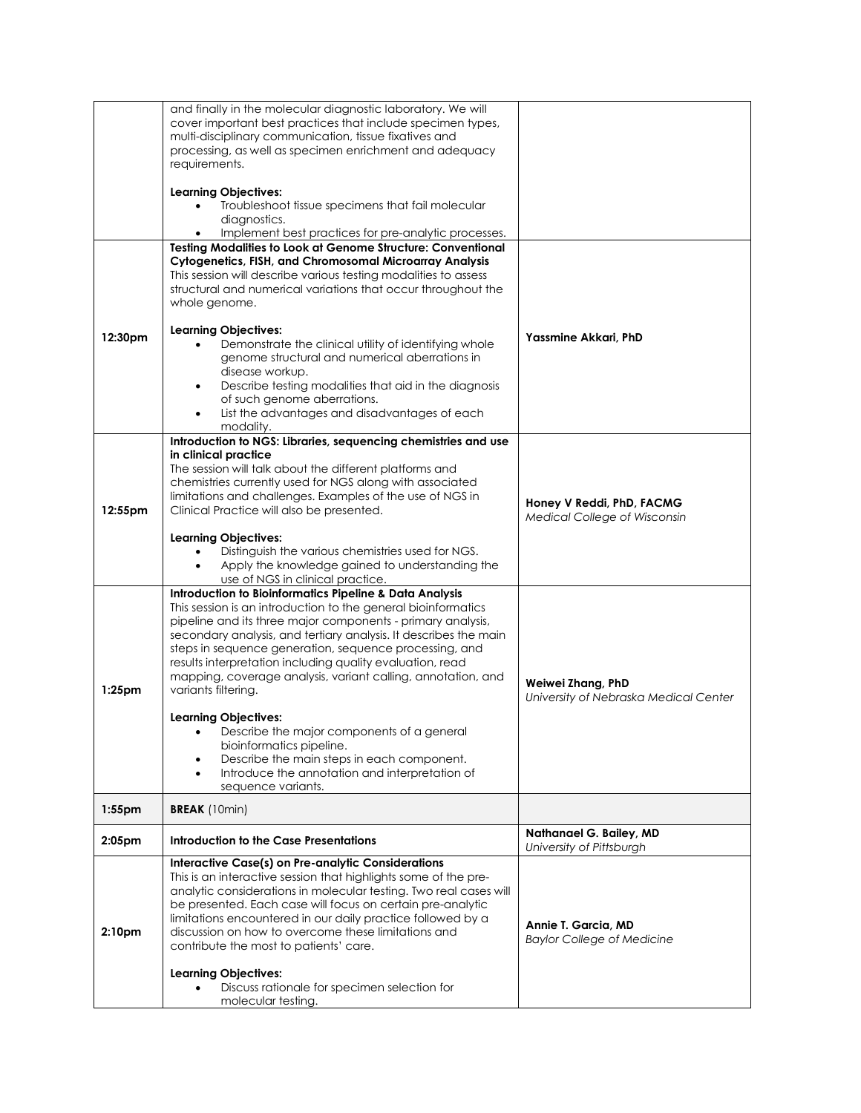|                    | and finally in the molecular diagnostic laboratory. We will<br>cover important best practices that include specimen types,<br>multi-disciplinary communication, tissue fixatives and<br>processing, as well as specimen enrichment and adequacy<br>requirements.<br><b>Learning Objectives:</b><br>Troubleshoot tissue specimens that fail molecular<br>diagnostics.<br>Implement best practices for pre-analytic processes.                                                                                                                                                                                                                                                                                        |                                                            |
|--------------------|---------------------------------------------------------------------------------------------------------------------------------------------------------------------------------------------------------------------------------------------------------------------------------------------------------------------------------------------------------------------------------------------------------------------------------------------------------------------------------------------------------------------------------------------------------------------------------------------------------------------------------------------------------------------------------------------------------------------|------------------------------------------------------------|
| 12:30pm            | Testing Modalities to Look at Genome Structure: Conventional<br>Cytogenetics, FISH, and Chromosomal Microarray Analysis<br>This session will describe various testing modalities to assess<br>structural and numerical variations that occur throughout the<br>whole genome.<br><b>Learning Objectives:</b><br>Demonstrate the clinical utility of identifying whole<br>genome structural and numerical aberrations in<br>disease workup.<br>Describe testing modalities that aid in the diagnosis<br>of such genome aberrations.<br>List the advantages and disadvantages of each<br>modality.                                                                                                                     | Yassmine Akkari, PhD                                       |
| 12:55pm            | Introduction to NGS: Libraries, sequencing chemistries and use<br>in clinical practice<br>The session will talk about the different platforms and<br>chemistries currently used for NGS along with associated<br>limitations and challenges. Examples of the use of NGS in<br>Clinical Practice will also be presented.<br><b>Learning Objectives:</b><br>Distinguish the various chemistries used for NGS.<br>Apply the knowledge gained to understanding the<br>$\bullet$<br>use of NGS in clinical practice.                                                                                                                                                                                                     | Honey V Reddi, PhD, FACMG<br>Medical College of Wisconsin  |
| $1:25$ pm          | <b>Introduction to Bioinformatics Pipeline &amp; Data Analysis</b><br>This session is an introduction to the general bioinformatics<br>pipeline and its three major components - primary analysis,<br>secondary analysis, and tertiary analysis. It describes the main<br>steps in sequence generation, sequence processing, and<br>results interpretation including quality evaluation, read<br>mapping, coverage analysis, variant calling, annotation, and<br>variants filtering.<br><b>Learning Objectives:</b><br>Describe the major components of a general<br>bioinformatics pipeline.<br>Describe the main steps in each component.<br>Introduce the annotation and interpretation of<br>sequence variants. | Weiwei Zhang, PhD<br>University of Nebraska Medical Center |
| 1:55pm             | <b>BREAK</b> (10min)                                                                                                                                                                                                                                                                                                                                                                                                                                                                                                                                                                                                                                                                                                |                                                            |
| 2:05 <sub>pm</sub> | Introduction to the Case Presentations                                                                                                                                                                                                                                                                                                                                                                                                                                                                                                                                                                                                                                                                              | Nathanael G. Bailey, MD<br>University of Pittsburgh        |
| 2:10 <sub>pm</sub> | Interactive Case(s) on Pre-analytic Considerations<br>This is an interactive session that highlights some of the pre-<br>analytic considerations in molecular testing. Two real cases will<br>be presented. Each case will focus on certain pre-analytic<br>limitations encountered in our daily practice followed by a<br>discussion on how to overcome these limitations and<br>contribute the most to patients' care.<br><b>Learning Objectives:</b><br>Discuss rationale for specimen selection for<br>molecular testing.                                                                                                                                                                                       | Annie T. Garcia, MD<br><b>Baylor College of Medicine</b>   |